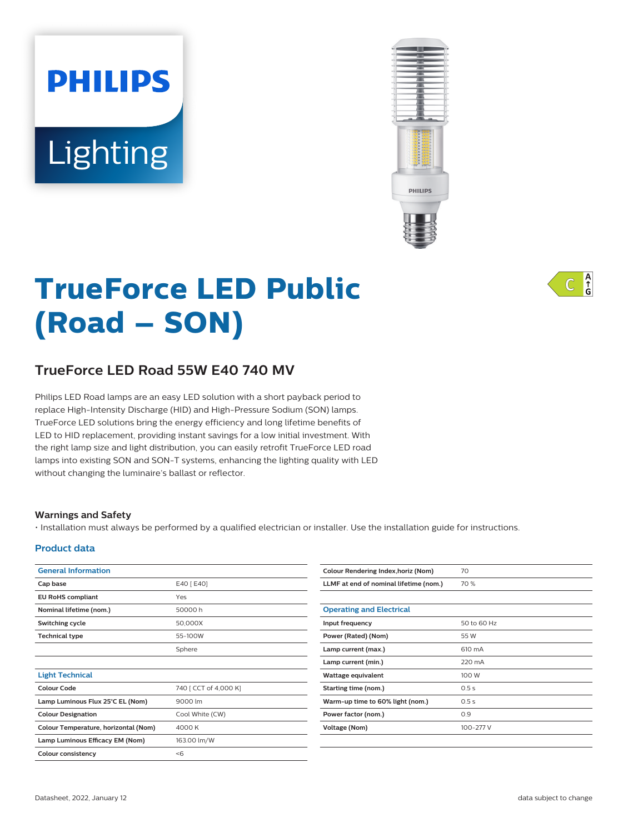# Lighting

**PHILIPS** 



# **TrueForce LED Public (Road – SON)**

# **TrueForce LED Road 55W E40 740 MV**

Philips LED Road lamps are an easy LED solution with a short payback period to replace High-Intensity Discharge (HID) and High-Pressure Sodium (SON) lamps. TrueForce LED solutions bring the energy efficiency and long lifetime benefits of LED to HID replacement, providing instant savings for a low initial investment. With the right lamp size and light distribution, you can easily retrofit TrueForce LED road lamps into existing SON and SON-T systems, enhancing the lighting quality with LED without changing the luminaire's ballast or reflector.

## **Warnings and Safety**

• Installation must always be performed by a qualified electrician or installer. Use the installation guide for instructions.

## **Product data**

| <b>General Information</b>           |                       | Colour Rendering Index, horiz (Nom)    | 70          |
|--------------------------------------|-----------------------|----------------------------------------|-------------|
| Cap base                             | E40 [ E40]            | LLMF at end of nominal lifetime (nom.) | 70 %        |
| <b>EU RoHS compliant</b>             | Yes                   |                                        |             |
| Nominal lifetime (nom.)              | 50000h                | <b>Operating and Electrical</b>        |             |
| Switching cycle                      | 50,000X               | Input frequency                        | 50 to 60 Hz |
| <b>Technical type</b>                | 55-100W               | Power (Rated) (Nom)                    | 55 W        |
|                                      | Sphere                | Lamp current (max.)                    | 610 mA      |
|                                      |                       | Lamp current (min.)                    | 220 mA      |
| <b>Light Technical</b>               |                       | Wattage equivalent                     | 100 W       |
| <b>Colour Code</b>                   | 740 [ CCT of 4,000 K] | <b>Starting time (nom.)</b>            | 0.5s        |
| Lamp Luminous Flux 25°C EL (Nom)     | 9000 lm               | Warm-up time to 60% light (nom.)       | 0.5s        |
| <b>Colour Designation</b>            | Cool White (CW)       | Power factor (nom.)                    | 0.9         |
| Colour Temperature, horizontal (Nom) | 4000 K                | <b>Voltage (Nom)</b>                   | 100-277 V   |
| Lamp Luminous Efficacy EM (Nom)      | 163.00 lm/W           |                                        |             |
| Colour consistency                   | < 6                   |                                        |             |

 $A_f$ C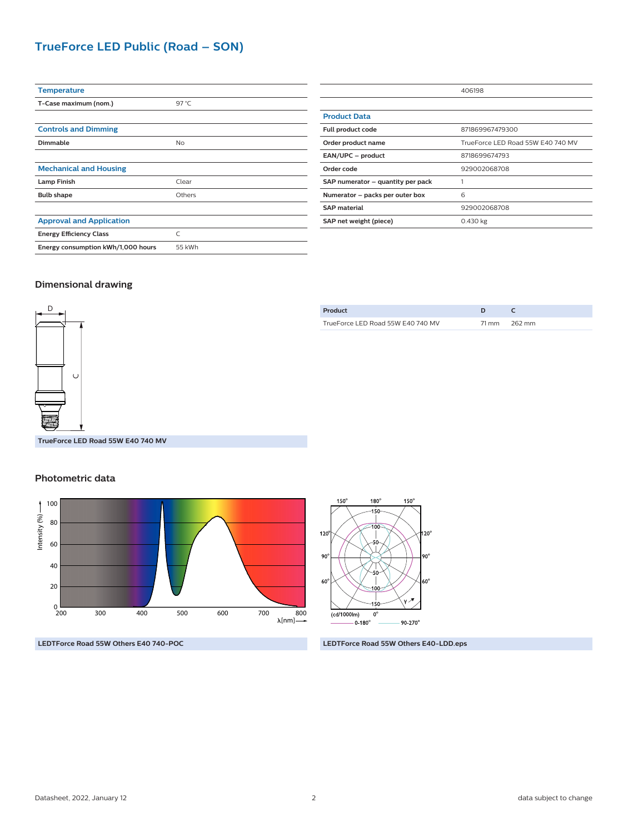# **TrueForce LED Public (Road – SON)**

| <b>Temperature</b>                 |           |
|------------------------------------|-----------|
| T-Case maximum (nom.)              | 97 $°C$   |
|                                    |           |
| <b>Controls and Dimming</b>        |           |
| Dimmable                           | <b>No</b> |
|                                    |           |
| <b>Mechanical and Housing</b>      |           |
| <b>Lamp Finish</b>                 | Clear     |
| <b>Bulb shape</b>                  | Others    |
|                                    |           |
| <b>Approval and Application</b>    |           |
| <b>Energy Efficiency Class</b>     | C         |
| Energy consumption kWh/1,000 hours | 55 kWh    |

|                                   | 406198                            |  |
|-----------------------------------|-----------------------------------|--|
|                                   |                                   |  |
| <b>Product Data</b>               |                                   |  |
| Full product code                 | 871869967479300                   |  |
| Order product name                | TrueForce LED Road 55W E40 740 MV |  |
| EAN/UPC - product                 | 8718699674793                     |  |
| Order code                        | 929002068708                      |  |
| SAP numerator - quantity per pack |                                   |  |
| Numerator - packs per outer box   | 6                                 |  |
| <b>SAP</b> material               | 929002068708                      |  |
| SAP net weight (piece)            | 0.430 kg                          |  |

#### **Dimensional drawing**



| Product                           |              |
|-----------------------------------|--------------|
| TrueForce LED Road 55W E40 740 MV | 71 mm 262 mm |
|                                   |              |

**TrueForce LED Road 55W E40 740 MV**

## **Photometric data**



**LEDTForce Road 55W Others E40 740-POC LEDTForce Road 55W Others E40-LDD.eps**